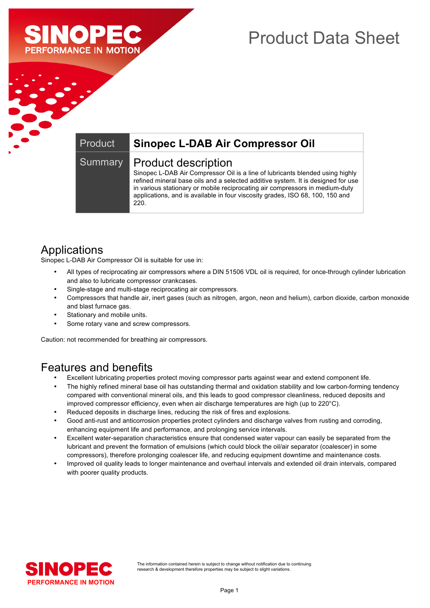

# Product Data Sheet

#### Product **Sinopec L-DAB Air Compressor Oil**

#### Summary | Product description

Sinopec L-DAB Air Compressor Oil is a line of lubricants blended using highly refined mineral base oils and a selected additive system. It is designed for use in various stationary or mobile reciprocating air compressors in medium-duty applications, and is available in four viscosity grades, ISO 68, 100, 150 and 220.

# Applications

Sinopec L-DAB Air Compressor Oil is suitable for use in:

- All types of reciprocating air compressors where a DIN 51506 VDL oil is required, for once-through cylinder lubrication and also to lubricate compressor crankcases.
- Single-stage and multi-stage reciprocating air compressors.
- Compressors that handle air, inert gases (such as nitrogen, argon, neon and helium), carbon dioxide, carbon monoxide and blast furnace gas.
- Stationary and mobile units.
- Some rotary vane and screw compressors.

Caution: not recommended for breathing air compressors.

### Features and benefits

- Excellent lubricating properties protect moving compressor parts against wear and extend component life.
- The highly refined mineral base oil has outstanding thermal and oxidation stability and low carbon-forming tendency compared with conventional mineral oils, and this leads to good compressor cleanliness, reduced deposits and improved compressor efficiency, even when air discharge temperatures are high (up to 220°C).
- Reduced deposits in discharge lines, reducing the risk of fires and explosions.
- Good anti-rust and anticorrosion properties protect cylinders and discharge valves from rusting and corroding, enhancing equipment life and performance, and prolonging service intervals.
- Excellent water-separation characteristics ensure that condensed water vapour can easily be separated from the lubricant and prevent the formation of emulsions (which could block the oil/air separator (coalescer) in some compressors), therefore prolonging coalescer life, and reducing equipment downtime and maintenance costs.
- Improved oil quality leads to longer maintenance and overhaul intervals and extended oil drain intervals, compared with poorer quality products.

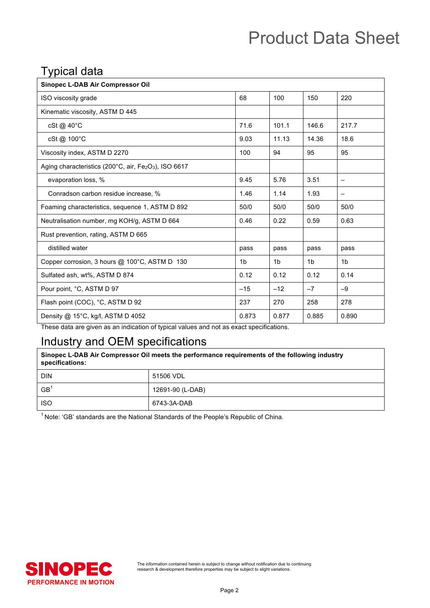# Product Data Sheet

# Typical data

| <b>Sinopec L-DAB Air Compressor Oil</b>                                                  |       |                |                |                 |
|------------------------------------------------------------------------------------------|-------|----------------|----------------|-----------------|
| ISO viscosity grade                                                                      | 68    | 100            | 150            | 220             |
| Kinematic viscosity, ASTM D 445                                                          |       |                |                |                 |
| $cSt@40^{\circ}C$                                                                        | 71.6  | 101.1          | 146.6          | 217.7           |
| cSt@ 100°C                                                                               | 9.03  | 11.13          | 14.36          | 18.6            |
| Viscosity index, ASTM D 2270                                                             | 100   | 94             | 95             | 95              |
| Aging characteristics (200 $^{\circ}$ C, air, Fe <sub>2</sub> O <sub>3</sub> ), ISO 6617 |       |                |                |                 |
| evaporation loss, %                                                                      | 9.45  | 5.76           | 3.51           | $\qquad \qquad$ |
| Conradson carbon residue increase, %                                                     | 1.46  | 1.14           | 1.93           |                 |
| Foaming characteristics, sequence 1, ASTM D 892                                          | 50/0  | 50/0           | 50/0           | 50/0            |
| Neutralisation number, mg KOH/g, ASTM D 664                                              | 0.46  | 0.22           | 0.59           | 0.63            |
| Rust prevention, rating, ASTM D 665                                                      |       |                |                |                 |
| distilled water                                                                          | pass  | pass           | pass           | pass            |
| Copper corrosion, 3 hours @ 100°C, ASTM D 130                                            | 1b    | 1 <sub>b</sub> | 1 <sub>b</sub> | 1 <sub>b</sub>  |
| Sulfated ash, wt%, ASTM D 874                                                            | 0.12  | 0.12           | 0.12           | 0.14            |
| Pour point, °C, ASTM D 97                                                                | $-15$ | $-12$          | $-7$           | $-9$            |
| Flash point (COC), °C, ASTM D 92                                                         | 237   | 270            | 258            | 278             |
| Density $@$ 15°C, kg/l, ASTM D 4052                                                      | 0.873 | 0.877          | 0.885          | 0.890           |

These data are given as an indication of typical values and not as exact specifications.

# Industry and OEM specifications

| Sinopec L-DAB Air Compressor Oil meets the performance requirements of the following industry<br>specifications: |                  |  |
|------------------------------------------------------------------------------------------------------------------|------------------|--|
| <b>DIN</b>                                                                                                       | 51506 VDL        |  |
| GB <sup>1</sup>                                                                                                  | 12691-90 (L-DAB) |  |
| <b>ISO</b>                                                                                                       | 6743-3A-DAB      |  |

 $1$  Note: 'GB' standards are the National Standards of the People's Republic of China.